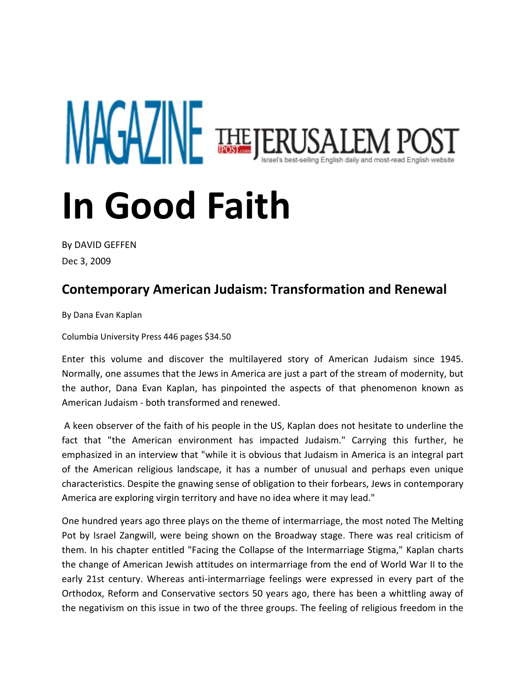## **MAGAZINE THEJERUSA** ael's best-selling English daily and most-read English website **In Good Faith**

By [DAVID GEFFEN](mailto:editors@jpost.com)  Dec 3, 2009

## **Contemporary American Judaism: Transformation and Renewal**

By Dana Evan Kaplan

Columbia University Press 446 pages \$34.50

Enter this volume and discover the multilayered story of American Judaism since 1945. Normally, one assumes that the Jews in America are just a part of the stream of modernity, but the author, Dana Evan Kaplan, has pinpointed the aspects of that phenomenon known as American Judaism - both transformed and renewed.

A keen observer of the faith of his people in the US, Kaplan does not hesitate to underline the fact that "the American environment has impacted Judaism." Carrying this further, he emphasized in an interview that "while it is obvious that Judaism in America is an integral part of the American religious landscape, it has a number of unusual and perhaps even unique characteristics. Despite the gnawing sense of obligation to their forbears, Jews in contemporary America are exploring virgin territory and have no idea where it may lead."

One hundred years ago three plays on the theme of intermarriage, the most noted The Melting Pot by Israel Zangwill, were being shown on the Broadway stage. There was real criticism of them. In his chapter entitled "Facing the Collapse of the Intermarriage Stigma," Kaplan charts the change of American Jewish attitudes on intermarriage from the end of World War II to the early 21st century. Whereas anti-intermarriage feelings were expressed in every part of the Orthodox, Reform and Conservative sectors 50 years ago, there has been a whittling away of the negativism on this issue in two of the three groups. The feeling of religious freedom in the